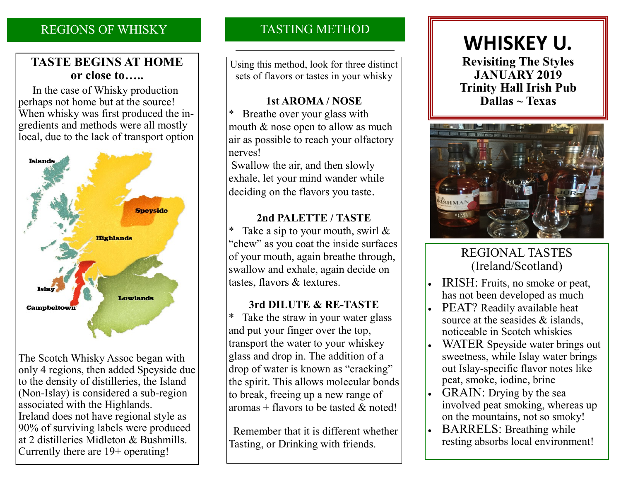# REGIONS OF WHISKY

## **TASTE BEGINS AT HOME or close to…..**

 In the case of Whisky production perhaps not home but at the source! When whisky was first produced the ingredients and methods were all mostly local, due to the lack of transport option



The Scotch Whisky Assoc began with only 4 regions, then added Speyside due to the density of distilleries, the Island (Non-Islay) is considered a sub-region associated with the Highlands. Ireland does not have regional style as 90% of surviving labels were produced at 2 distilleries Midleton & Bushmills. Currently there are 19+ operating!

# TASTING METHOD

Using this method, look for three distinct sets of flavors or tastes in your whisky

#### **1st AROMA / NOSE**

Breathe over your glass with mouth & nose open to allow as much air as possible to reach your olfactory nerves!

Swallow the air, and then slowly exhale, let your mind wander while deciding on the flavors you taste.

#### **2nd PALETTE / TASTE**

Take a sip to your mouth, swirl  $\&$ "chew" as you coat the inside surfaces of your mouth, again breathe through, swallow and exhale, again decide on tastes, flavors & textures.

## **3rd DILUTE & RE-TASTE**

\* Take the straw in your water glass and put your finger over the top, transport the water to your whiskey glass and drop in. The addition of a drop of water is known as "cracking" the spirit. This allows molecular bonds to break, freeing up a new range of aromas + flavors to be tasted  $\&$  noted!

 Remember that it is different whether Tasting, or Drinking with friends.

# **WHISKEY U.**

**Revisiting The Styles JANUARY 2019 Trinity Hall Irish Pub Dallas ~ Texas**



# REGIONAL TASTES (Ireland/Scotland)

- IRISH: Fruits, no smoke or peat, has not been developed as much
- PEAT? Readily available heat source at the seasides & islands, noticeable in Scotch whiskies
- WATER Speyside water brings out sweetness, while Islay water brings out Islay-specific flavor notes like peat, smoke, iodine, brine
- GRAIN: Drying by the sea involved peat smoking, whereas up on the mountains, not so smoky!
- BARRELS: Breathing while resting absorbs local environment!